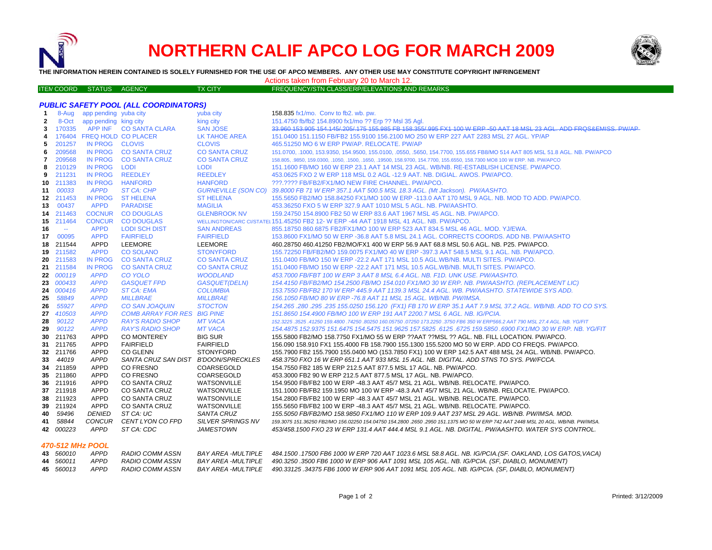



**THE INFORMATION HEREIN CONTAINED IS SOLELY FURNISHED FOR THE USE OF APCO MEMBERS. ANY OTHER USE MAY CONSTITUTE COPYRIGHT INFRINGEMENT**

Actions taken from February 20 to March 12.

| <b>ITEN COORD STATUS AGENCY</b> |  | <b>TX CITY</b> | FREQUENCY/STN CLASS/ERP/ELEVATIONS AND REMARKS |
|---------------------------------|--|----------------|------------------------------------------------|
|                                 |  |                |                                                |

|                  | <b>PUBLIC SAFETY POOL (ALL COORDINATORS)</b> |                                |                                      |                                        |                                                                                                                                                                                                                                       |
|------------------|----------------------------------------------|--------------------------------|--------------------------------------|----------------------------------------|---------------------------------------------------------------------------------------------------------------------------------------------------------------------------------------------------------------------------------------|
| -1               |                                              | 8-Aug app pending yuba city    |                                      | yuba city                              | 158.835 fx1/mo. Conv to fb2. wb. pw.                                                                                                                                                                                                  |
| $\mathbf{2}$     | 8-Oct                                        | app pending king city          |                                      | king city                              | 151.4750 fb/fb2 154.8900 fx1/mo ?? Erp ?? Msl 35 Aql.                                                                                                                                                                                 |
| 3                | 170335                                       |                                | APP INF CO SANTA CLARA               | <b>SAN JOSE</b>                        | 33.960 153.905 154.145/205/175 155.985 FB 158.355/995 FX1 100 W ERP -50 AAT 18 MSL 23 AGL. ADD FRQS&EMISS, PW/AP                                                                                                                      |
| 4                |                                              |                                | 176404 FREQ HOLD CO PLACER           | LK TAHOE AREA                          | 151.0400 151.1150 FB/FB2 155.9100 156.2100 MO 250 W ERP 227 AAT 2283 MSL 27 AGL, YP/AP                                                                                                                                                |
| 5                | 201257                                       | IN PROG CLOVIS                 |                                      | <b>CLOVIS</b>                          | 465.51250 MO 6 W ERP PW/AP. RELOCATE. PW/AP                                                                                                                                                                                           |
| 6                | 209568                                       |                                | IN PROG CO SANTA CRUZ                | <b>CO SANTA CRUZ</b>                   | 151.0700, .1000, 153.9350, 154.9500, 155.0100, .0550, .5650, 154.7700, 155.655 FB8/MO 514 AAT 805 MSL 51.8 AGL. NB. PW/APCO                                                                                                           |
| 7                | 209568                                       | <b>IN PROG</b>                 | <b>CO SANTA CRUZ</b>                 | <b>CO SANTA CRUZ</b>                   | 158.805, .9850, 159.0300, .1050, .1500, .1650, .19500, 158.9700, 154.7700, 155.6550, 158.7300 MO8 100 W ERP. NB. PW/APCO                                                                                                              |
| 8                | 210129                                       | IN PROG                        | LODI                                 | <b>LODI</b>                            | 151.1600 FB/MO 160 W ERP 23.1 AAT 14 MSL 23 AGL. WB/NB. RE-ESTABLISH LICENSE. PW/APCO.                                                                                                                                                |
| 9                | 211231                                       | <b>IN PROG</b>                 | <b>REEDLEY</b>                       | <b>REEDLEY</b>                         | 453.0625 FXO 2 W ERP 118 MSL 0.2 AGL -12.9 AAT. NB. DIGIAL. AWOS. PW/APCO.                                                                                                                                                            |
| 10               | 211383                                       | IN PROG                        | <b>HANFORD</b>                       | <b>HANFORD</b>                         | ???.???? FB/FB2/FX1/MO NEW FIRE CHANNEL. PW/APCO.                                                                                                                                                                                     |
| 11               | 00033                                        | <b>APPD</b>                    | ST CA: CHP                           | GURNEVILLE (SON CO)                    | 39.8000 FB 71 W ERP 357.1 AAT 500.5 MSL 18.3 AGL. (Mt Jackson). PW/AASHTO.                                                                                                                                                            |
|                  | 12 211453                                    | <b>IN PROG</b>                 | <b>ST HELENA</b>                     | <b>ST HELENA</b>                       | 155.5650 FB2/MO 158.84250 FX1/MO 100 W ERP -113.0 AAT 170 MSL 9 AGL. NB. MOD TO ADD. PW/APCO.                                                                                                                                         |
| 13               | 00437                                        | <b>APPD</b>                    | <b>PARADISE</b>                      | <b>MAGILIA</b>                         | 453.36250 FXO 5 W ERP 327.9 AAT 1010 MSL 5 AGL, NB, PW/AASHTO.                                                                                                                                                                        |
|                  | 14 211463                                    | <b>COCNUR</b>                  | <b>CO DOUGLAS</b>                    | <b>GLENBROOK NV</b>                    | 159,24750 154,8900 FB2 50 W ERP 83.6 AAT 1967 MSL 45 AGL, NB, PW/APCO,                                                                                                                                                                |
| 15               | 211464                                       | <b>CONCUR</b>                  | <b>CO DOUGLAS</b>                    |                                        | WELLINGTON/CARC CI/STATEL 151.45250 FB2 12-W ERP -44 AAT 1918 MSL 41 AGL. NB. PW/APCO.                                                                                                                                                |
| 16               | $\mathbb{Z}^2$                               | <b>APPD</b>                    | <b>LODI SCH DIST</b>                 | <b>SAN ANDREAS</b>                     | 855.18750 860.6875 FB2/FX1/MO 100 W ERP 523 AAT 834.5 MSL 46 AGL, MOD, YJ/EWA,                                                                                                                                                        |
| 17               | 00095                                        | <b>APPD</b>                    | <b>FAIRFIELD</b>                     | <b>FAIRFIELD</b>                       | 153.8600 FX1/MO 50 W ERP -36.8 AAT 5.8 MSL 24.1 AGL. CORRECTS COORDS. ADD NB. PW/AASHTO                                                                                                                                               |
| 18               | 211544                                       | APPD                           | LEEMORE                              | <b>LEEMORE</b>                         | 460.28750 460.41250 FB2/MO/FX1 400 W ERP 56.9 AAT 68.8 MSL 50.6 AGL. NB. P25. PW/APCO.                                                                                                                                                |
| 19               | 211582                                       | <b>APPD</b>                    | <b>CO SOLANO</b>                     | <b>STONYFORD</b>                       | 155.72250 FB/FB2/MO 159.0075 FX1/MO 40 W ERP -397.3 AAT 548.5 MSL 9.1 AGL. NB. PW/APCO.                                                                                                                                               |
| 20               | 211583                                       | <b>IN PROG</b>                 | <b>CO SANTA CRUZ</b>                 | <b>CO SANTA CRUZ</b>                   | 151,0400 FB/MO 150 W ERP -22.2 AAT 171 MSL 10.5 AGL.WB/NB, MULTI SITES, PW/APCO,                                                                                                                                                      |
| 21               | 211584                                       | <b>IN PROG</b>                 | <b>CO SANTA CRUZ</b>                 | <b>CO SANTA CRUZ</b>                   | 151,0400 FB/MO 150 W ERP -22.2 AAT 171 MSL 10.5 AGL.WB/NB, MULTI SITES, PW/APCO,                                                                                                                                                      |
| 22               | 000119                                       | <b>APPD</b>                    | <b>CO YOLO</b>                       | <b>WOODLAND</b>                        | 453.7000 FB/FBT 100 W ERP 3 AAT 8 MSL 6.4 AGL. NB. F1D. UNK USE. PW/AASHTO.                                                                                                                                                           |
| 23.              | 000433                                       | <b>APPD</b>                    | <b>GASQUET FPD</b>                   | <b>GASQUET(DELN)</b>                   | 154.4150 FB/FB2/MO 154.2500 FB/MO 154.010 FX1/MO 30 W ERP. NB. PW/AASHTO. (REPLACEMENT LIC)                                                                                                                                           |
| 24               | 000416                                       | <b>APPD</b>                    | <b>ST CA: EMA</b>                    | <b>COLUMBIA</b>                        | 153.7550 FB/FB2 170 W ERP 445.9 AAT 1139.3 MSL 24.4 AGL. WB. PW/AASHTO. STATEWIDE SYS ADD.                                                                                                                                            |
| 25               | 58849                                        | <b>APPD</b>                    | <b>MILLBRAE</b>                      | <b>MILLBRAE</b>                        | 156.1050 FB/MO 80 W ERP -76.8 AAT 11 MSL 15 AGL, WB/NB, PW/IMSA.                                                                                                                                                                      |
| 26               | 55927                                        | <b>APPD</b>                    | <b>CO SAN JOAQUIN</b>                | <b>STOCTON</b>                         | 154.265 .280 .295 .235 155.0250 156.120 (FX1) FB 170 W ERP 35.1 AAT 7.9 MSL 37.2 AGL. WB/NB. ADD TO CO SYS.                                                                                                                           |
| 27               | 410503                                       | <b>APPD</b>                    | <b>COMB ARRAY FOR RES BIG PINE</b>   |                                        | 151.8650 154.4900 FB/MO 100 W ERP 191 AAT 2200.7 MSL 6 AGL. NB. IG/PCIA.                                                                                                                                                              |
| 28               | 90122                                        | <b>APPD</b>                    | <b>RAY'S RADIO SHOP</b>              | <b>MT VACA</b>                         | 152,3225,3525,41250 159,4800,74250,80250 160,05750,07250 173,2250,3750 FB6 350 W ERP566,2 AAT 790 MSL 27.4 AGL, NB, YG/FIT                                                                                                            |
| 29               | 90122                                        | <b>APPD</b>                    | <b>RAY'S RADIO SHOP</b>              | <b>MT VACA</b>                         | 154.4875 152.9375 151.6475 154.5475 151.9625 157.5825 .6125 .6725 159.5850 .6900 FX1/MO 30 W ERP. NB. YG/FIT                                                                                                                          |
| 30               | 211763                                       | APPD                           | <b>CO MONTEREY</b>                   | <b>BIG SUR</b>                         | 155,5800 FB2/MO 158,7750 FX1/MO 55 W ERP ??AAT ??MSL ?? AGL, NB, FILL LOCATION, PW/APCO.                                                                                                                                              |
| 31               | 211765                                       | APPD                           | <b>FAIRFIELD</b>                     | <b>FAIRFIELD</b>                       | 156.090 158.910 FX1 155.4000 FB 158.7900 155.1300 155.5200 MO 50 W ERP. ADD CO FREQS. PW/APCO.                                                                                                                                        |
| 32               | 211766                                       | APPD                           | <b>CO GLENN</b>                      | <b>STONYFORD</b>                       | 155.7900 FB2 155.7900 155.0400 MO (153.7850 FX1) 100 W ERP 142.5 AAT 488 MSL 24 AGL. WB/NB. PW/APCO.                                                                                                                                  |
| 33               | 44019                                        | <b>APPD</b>                    | SANTA CRUZ SAN DIST B'DOON/SPRECKLES |                                        | 458.3750 FXO 16 W ERP 651.1 AAT 933 MSL 15 AGL. NB. DIGITAL. ADD STNS TO SYS. PW/FCCA.                                                                                                                                                |
| 34               | 211859                                       | APPD                           | CO FRESNO                            | COARSEGOLD                             | 154.7550 FB2 185 W ERP 212.5 AAT 877.5 MSL 17 AGL. NB. PW/APCO.                                                                                                                                                                       |
| 35               | 211860                                       | APPD                           | <b>CO FRESNO</b>                     | <b>COARSEGOLD</b>                      | 453.3000 FB2 90 W ERP 212.5 AAT 877.5 MSL 17 AGL. NB. PW/APCO.                                                                                                                                                                        |
| 36               | 211916                                       | APPD                           | CO SANTA CRUZ                        | <b>WATSONVILLE</b>                     | 154.9500 FB/FB2 100 W ERP -48.3 AAT 45/7 MSL 21 AGL. WB/NB. RELOCATE. PW/APCO.                                                                                                                                                        |
|                  | 37 211918                                    | APPD                           | CO SANTA CRUZ                        | <b>WATSONVILLE</b>                     | 151.1000 FB/FB2 159.1950 MO 100 W ERP -48.3 AAT 45/7 MSL 21 AGL. WB/NB. RELOCATE. PW/APCO.                                                                                                                                            |
| 38               | 211923                                       | APPD                           | CO SANTA CRUZ                        | <b>WATSONVILLE</b>                     | 154,2800 FB/FB2 100 W ERP -48.3 AAT 45/7 MSL 21 AGL, WB/NB, RELOCATE, PW/APCO,                                                                                                                                                        |
| 39               | 211924                                       | <b>APPD</b>                    | CO SANTA CRUZ                        | <b>WATSONVILLE</b>                     | 155.5650 FB/FB2 100 W ERP -48.3 AAT 45/7 MSL 21 AGL. WB/NB. RELOCATE. PW/APCO.                                                                                                                                                        |
| 40<br>41         | 59496<br>58844                               | <b>DENIED</b><br><b>CONCUR</b> | ST CA: UC<br>CENT LYON CO FPD        | SANTA CRUZ<br><b>SILVER SPRINGS NV</b> | 155.5050 FB/FB2/MO 158.9850 FX1/MO 110 W ERP 109.9 AAT 237 MSL 29 AGL. WB/NB. PW/IMSA. MOD.                                                                                                                                           |
|                  | 42 000223                                    | <b>APPD</b>                    | ST CA: CDC                           | <b>JAMESTOWN</b>                       | 159.3075 151.36250 FB2/MO 156.02250 154.04750 154.2800 .2650 .2950 151.1375 MO 50 W ERP 742 AAT 2448 MSL 20 AGL. WB/NB. PW/IMSA.<br>453/458.1500 FXO 23 W ERP 131.4 AAT 444.4 MSL 9.1 AGL. NB. DIGITAL. PW/AASHTO. WATER SYS CONTROL. |
|                  |                                              |                                |                                      |                                        |                                                                                                                                                                                                                                       |
| 470-512 MHz POOL |                                              |                                |                                      |                                        |                                                                                                                                                                                                                                       |

| 43 560010 | APPD | RADIO COMM ASSN |                    | BAY AREA -MULTIPLE 484.1500 .17500 FB6 1000 W ERP 720 AAT 1023.6 MSL 58.8 AGL. NB. IG/PCIA.(SF. OAKLAND, LOS GATOS,VACA) |
|-----------|------|-----------------|--------------------|--------------------------------------------------------------------------------------------------------------------------|
| 44 560011 | APPD | RADIO COMM ASSN |                    | BAY AREA -MULTIPLE 490.3250 .3500 FB6 1000 W ERP 906 AAT 1091 MSL 105 AGL. NB. IG/PCIA. (SF, DIABLO, MONUMENT)           |
| 45 560013 | APPD | RADIO COMM ASSN | BAY AREA -MULTIPLE | 490.33125 .34375 FB6 1000 W ERP 906 AAT 1091 MSL 105 AGL. NB. IG/PCIA. (SF, DIABLO, MONUMENT)                            |